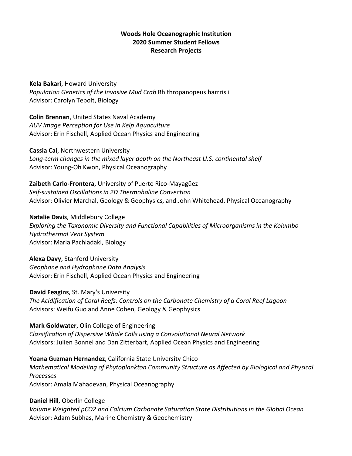## **Woods Hole Oceanographic Institution 2020 Summer Student Fellows Research Projects**

**Kela Bakari**, Howard University *Population Genetics of the Invasive Mud Crab* Rhithropanopeus harrrisii Advisor: Carolyn Tepolt, Biology

**Colin Brennan**, United States Naval Academy *AUV Image Perception for Use in Kelp Aquaculture* Advisor: Erin Fischell, Applied Ocean Physics and Engineering

**Cassia Cai**, Northwestern University *Long-term changes in the mixed layer depth on the Northeast U.S. continental shelf* Advisor: Young-Oh Kwon, Physical Oceanography

**Zaibeth Carlo-Frontera**, University of Puerto Rico-Mayagüez *Self-sustained Oscillations in 2D Thermohaline Convection* Advisor: Olivier Marchal, Geology & Geophysics, and John Whitehead, Physical Oceanography

**Natalie Davis**, Middlebury College *Exploring the Taxonomic Diversity and Functional Capabilities of Microorganisms in the Kolumbo Hydrothermal Vent System* Advisor: Maria Pachiadaki, Biology

**Alexa Davy**, Stanford University *Geophone and Hydrophone Data Analysis* Advisor: Erin Fischell, Applied Ocean Physics and Engineering

**David Feagins**, St. Mary's University

*The Acidification of Coral Reefs: Controls on the Carbonate Chemistry of a Coral Reef Lagoon* Advisors: Weifu Guo and Anne Cohen, Geology & Geophysics

**Mark Goldwater**, Olin College of Engineering *Classification of Dispersive Whale Calls using a Convolutional Neural Network* Advisors: Julien Bonnel and Dan Zitterbart, Applied Ocean Physics and Engineering

**Yoana Guzman Hernandez**, California State University Chico *Mathematical Modeling of Phytoplankton Community Structure as Affected by Biological and Physical Processes* Advisor: Amala Mahadevan, Physical Oceanography

**Daniel Hill**, Oberlin College *Volume Weighted pCO2 and Calcium Carbonate Saturation State Distributions in the Global Ocean* Advisor: Adam Subhas, Marine Chemistry & Geochemistry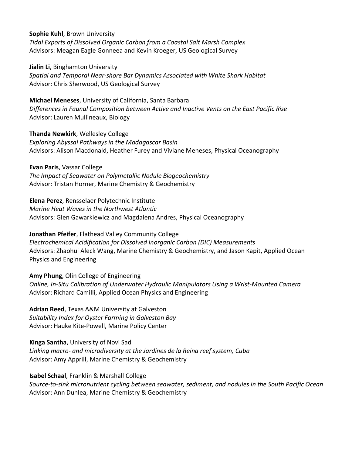**Sophie Kuhl**, Brown University *Tidal Exports of Dissolved Organic Carbon from a Coastal Salt Marsh Complex* Advisors: Meagan Eagle Gonneea and Kevin Kroeger, US Geological Survey

**Jialin Li**, Binghamton University *Spatial and Temporal Near-shore Bar Dynamics Associated with White Shark Habitat* Advisor: Chris Sherwood, US Geological Survey

**Michael Meneses**, University of California, Santa Barbara *Differences in Faunal Composition between Active and Inactive Vents on the East Pacific Rise* Advisor: Lauren Mullineaux, Biology

**Thanda Newkirk**, Wellesley College *Exploring Abyssal Pathways in the Madagascar Basin* Advisors: Alison Macdonald, Heather Furey and Viviane Meneses, Physical Oceanography

**Evan Paris**, Vassar College *The Impact of Seawater on Polymetallic Nodule Biogeochemistry* Advisor: Tristan Horner, Marine Chemistry & Geochemistry

**Elena Perez**, Rensselaer Polytechnic Institute *Marine Heat Waves in the Northwest Atlantic* Advisors: Glen Gawarkiewicz and Magdalena Andres, Physical Oceanography

**Jonathan Pfeifer**, Flathead Valley Community College *Electrochemical Acidification for Dissolved Inorganic Carbon (DIC) Measurements* Advisors: Zhaohui Aleck Wang, Marine Chemistry & Geochemistry, and Jason Kapit, Applied Ocean Physics and Engineering

**Amy Phung**, Olin College of Engineering *Online, In-Situ Calibration of Underwater Hydraulic Manipulators Using a Wrist-Mounted Camera* Advisor: Richard Camilli, Applied Ocean Physics and Engineering

**Adrian Reed**, Texas A&M University at Galveston *Suitability Index for Oyster Farming in Galveston Bay* Advisor: Hauke Kite-Powell, Marine Policy Center

**Kinga Santha**, University of Novi Sad *Linking macro- and microdiversity at the Jardines de la Reina reef system, Cuba* Advisor: Amy Apprill, Marine Chemistry & Geochemistry

**Isabel Schaal**, Franklin & Marshall College *Source-to-sink micronutrient cycling between seawater, sediment, and nodules in the South Pacific Ocean* Advisor: Ann Dunlea, Marine Chemistry & Geochemistry